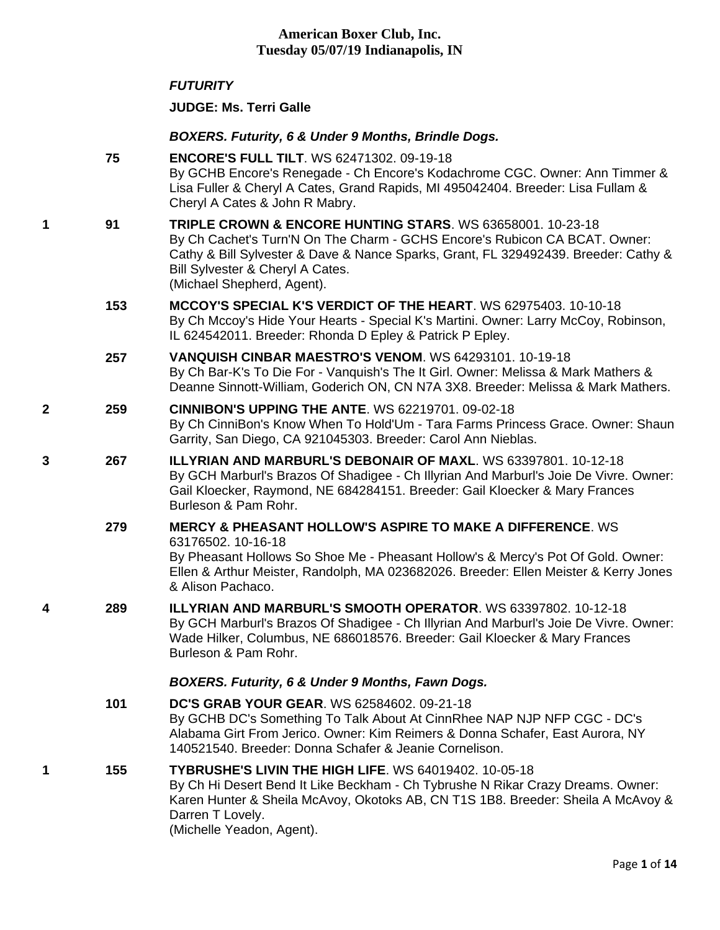#### *FUTURITY*

**JUDGE: [Ms. Terri Galle](http://infodog.com/show/judge/jdgprofile.htm?jn=13783)**

### *BOXERS. Futurity, 6 & Under 9 Months, Brindle Dogs.*

|   | 75  | <b>ENCORE'S FULL TILT. WS 62471302. 09-19-18</b><br>By GCHB Encore's Renegade - Ch Encore's Kodachrome CGC. Owner: Ann Timmer &<br>Lisa Fuller & Cheryl A Cates, Grand Rapids, MI 495042404. Breeder: Lisa Fullam &<br>Cheryl A Cates & John R Mabry.                                             |
|---|-----|---------------------------------------------------------------------------------------------------------------------------------------------------------------------------------------------------------------------------------------------------------------------------------------------------|
| 1 | 91  | TRIPLE CROWN & ENCORE HUNTING STARS. WS 63658001, 10-23-18<br>By Ch Cachet's Turn'N On The Charm - GCHS Encore's Rubicon CA BCAT. Owner:<br>Cathy & Bill Sylvester & Dave & Nance Sparks, Grant, FL 329492439. Breeder: Cathy &<br>Bill Sylvester & Cheryl A Cates.<br>(Michael Shepherd, Agent). |
|   | 153 | <b>MCCOY'S SPECIAL K'S VERDICT OF THE HEART. WS 62975403, 10-10-18</b><br>By Ch Mccoy's Hide Your Hearts - Special K's Martini. Owner: Larry McCoy, Robinson,<br>IL 624542011. Breeder: Rhonda D Epley & Patrick P Epley.                                                                         |
|   | 257 | VANQUISH CINBAR MAESTRO'S VENOM. WS 64293101. 10-19-18<br>By Ch Bar-K's To Die For - Vanquish's The It Girl. Owner: Melissa & Mark Mathers &<br>Deanne Sinnott-William, Goderich ON, CN N7A 3X8. Breeder: Melissa & Mark Mathers.                                                                 |
| 2 | 259 | <b>CINNIBON'S UPPING THE ANTE. WS 62219701, 09-02-18</b><br>By Ch CinniBon's Know When To Hold'Um - Tara Farms Princess Grace. Owner: Shaun<br>Garrity, San Diego, CA 921045303. Breeder: Carol Ann Nieblas.                                                                                      |
| 3 | 267 | <b>ILLYRIAN AND MARBURL'S DEBONAIR OF MAXL. WS 63397801. 10-12-18</b><br>By GCH Marburl's Brazos Of Shadigee - Ch Illyrian And Marburl's Joie De Vivre. Owner:<br>Gail Kloecker, Raymond, NE 684284151. Breeder: Gail Kloecker & Mary Frances<br>Burleson & Pam Rohr.                             |
|   | 279 | <b>MERCY &amp; PHEASANT HOLLOW'S ASPIRE TO MAKE A DIFFERENCE. WS</b><br>63176502.10-16-18<br>By Pheasant Hollows So Shoe Me - Pheasant Hollow's & Mercy's Pot Of Gold. Owner:<br>Ellen & Arthur Meister, Randolph, MA 023682026. Breeder: Ellen Meister & Kerry Jones<br>& Alison Pachaco.        |
| 4 | 289 | <b>ILLYRIAN AND MARBURL'S SMOOTH OPERATOR. WS 63397802. 10-12-18</b><br>By GCH Marburl's Brazos Of Shadigee - Ch Illyrian And Marburl's Joie De Vivre. Owner:<br>Wade Hilker, Columbus, NE 686018576. Breeder: Gail Kloecker & Mary Frances<br>Burleson & Pam Rohr.                               |
|   |     | BOXERS. Futurity, 6 & Under 9 Months, Fawn Dogs.                                                                                                                                                                                                                                                  |
|   | 101 | <b>DC'S GRAB YOUR GEAR. WS 62584602, 09-21-18</b><br>By GCHB DC's Something To Talk About At CinnRhee NAP NJP NFP CGC - DC's<br>Alabama Girt From Jerico. Owner: Kim Reimers & Donna Schafer, East Aurora, NY<br>140521540. Breeder: Donna Schafer & Jeanie Cornelison.                           |
| 1 | 155 | <b>TYBRUSHE'S LIVIN THE HIGH LIFE. WS 64019402, 10-05-18</b><br>By Ch Hi Desert Bend It Like Beckham - Ch Tybrushe N Rikar Crazy Dreams. Owner:<br>Karen Hunter & Sheila McAvoy, Okotoks AB, CN T1S 1B8. Breeder: Sheila A McAvoy &<br>Darren T Lovely.                                           |

(Michelle Yeadon, Agent).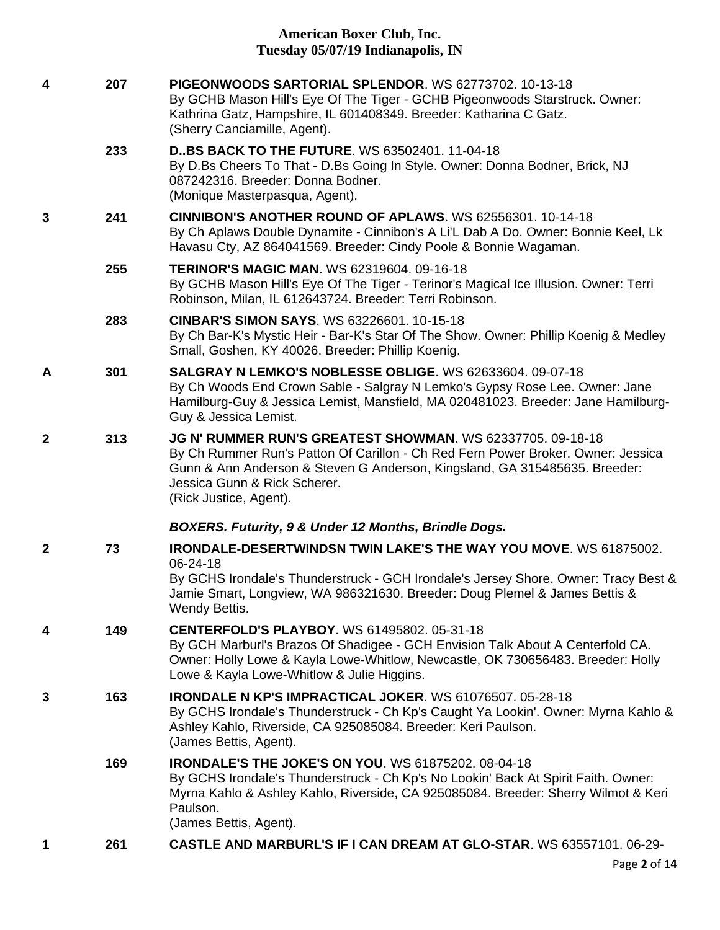| 4            | 207 | PIGEONWOODS SARTORIAL SPLENDOR, WS 62773702, 10-13-18<br>By GCHB Mason Hill's Eye Of The Tiger - GCHB Pigeonwoods Starstruck. Owner:<br>Kathrina Gatz, Hampshire, IL 601408349. Breeder: Katharina C Gatz.<br>(Sherry Canciamille, Agent).                                             |
|--------------|-----|----------------------------------------------------------------------------------------------------------------------------------------------------------------------------------------------------------------------------------------------------------------------------------------|
|              | 233 | <b>DBS BACK TO THE FUTURE. WS 63502401. 11-04-18</b><br>By D.Bs Cheers To That - D.Bs Going In Style. Owner: Donna Bodner, Brick, NJ<br>087242316. Breeder: Donna Bodner.<br>(Monique Masterpasqua, Agent).                                                                            |
| 3            | 241 | <b>CINNIBON'S ANOTHER ROUND OF APLAWS. WS 62556301, 10-14-18</b><br>By Ch Aplaws Double Dynamite - Cinnibon's A Li'L Dab A Do. Owner: Bonnie Keel, Lk<br>Havasu Cty, AZ 864041569. Breeder: Cindy Poole & Bonnie Wagaman.                                                              |
|              | 255 | <b>TERINOR'S MAGIC MAN. WS 62319604. 09-16-18</b><br>By GCHB Mason Hill's Eye Of The Tiger - Terinor's Magical Ice Illusion. Owner: Terri<br>Robinson, Milan, IL 612643724. Breeder: Terri Robinson.                                                                                   |
|              | 283 | <b>CINBAR'S SIMON SAYS. WS 63226601. 10-15-18</b><br>By Ch Bar-K's Mystic Heir - Bar-K's Star Of The Show. Owner: Phillip Koenig & Medley<br>Small, Goshen, KY 40026. Breeder: Phillip Koenig.                                                                                         |
| A            | 301 | SALGRAY N LEMKO'S NOBLESSE OBLIGE. WS 62633604, 09-07-18<br>By Ch Woods End Crown Sable - Salgray N Lemko's Gypsy Rose Lee. Owner: Jane<br>Hamilburg-Guy & Jessica Lemist, Mansfield, MA 020481023. Breeder: Jane Hamilburg-<br>Guy & Jessica Lemist.                                  |
| $\mathbf{2}$ | 313 | JG N' RUMMER RUN'S GREATEST SHOWMAN. WS 62337705. 09-18-18<br>By Ch Rummer Run's Patton Of Carillon - Ch Red Fern Power Broker. Owner: Jessica<br>Gunn & Ann Anderson & Steven G Anderson, Kingsland, GA 315485635. Breeder:<br>Jessica Gunn & Rick Scherer.<br>(Rick Justice, Agent). |
|              |     | BOXERS. Futurity, 9 & Under 12 Months, Brindle Dogs.                                                                                                                                                                                                                                   |
| $\mathbf{2}$ | 73  | <b>IRONDALE-DESERTWINDSN TWIN LAKE'S THE WAY YOU MOVE. WS 61875002.</b><br>06-24-18<br>By GCHS Irondale's Thunderstruck - GCH Irondale's Jersey Shore. Owner: Tracy Best &<br>Jamie Smart, Longview, WA 986321630. Breeder: Doug Plemel & James Bettis &<br>Wendy Bettis.              |
| 4            | 149 | <b>CENTERFOLD'S PLAYBOY.</b> WS 61495802, 05-31-18<br>By GCH Marburl's Brazos Of Shadigee - GCH Envision Talk About A Centerfold CA.<br>Owner: Holly Lowe & Kayla Lowe-Whitlow, Newcastle, OK 730656483. Breeder: Holly<br>Lowe & Kayla Lowe-Whitlow & Julie Higgins.                  |
| 3            | 163 | <b>IRONDALE N KP'S IMPRACTICAL JOKER. WS 61076507. 05-28-18</b><br>By GCHS Irondale's Thunderstruck - Ch Kp's Caught Ya Lookin'. Owner: Myrna Kahlo &<br>Ashley Kahlo, Riverside, CA 925085084. Breeder: Keri Paulson.<br>(James Bettis, Agent).                                       |
|              | 169 | <b>IRONDALE'S THE JOKE'S ON YOU. WS 61875202, 08-04-18</b><br>By GCHS Irondale's Thunderstruck - Ch Kp's No Lookin' Back At Spirit Faith. Owner:<br>Myrna Kahlo & Ashley Kahlo, Riverside, CA 925085084. Breeder: Sherry Wilmot & Keri<br>Paulson.<br>(James Bettis, Agent).           |
| 1            | 261 | CASTLE AND MARBURL'S IF I CAN DREAM AT GLO-STAR. WS 63557101. 06-29-                                                                                                                                                                                                                   |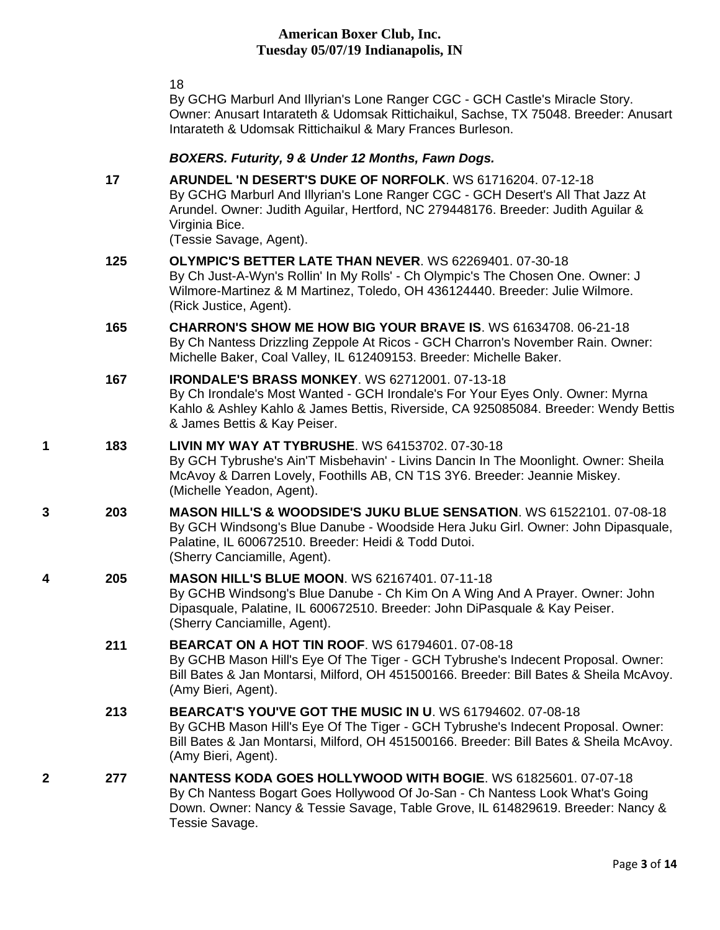18

Tessie Savage.

By GCHG Marburl And Illyrian's Lone Ranger CGC - GCH Castle's Miracle Story. Owner: Anusart Intarateth & Udomsak Rittichaikul, Sachse, TX 75048. Breeder: Anusart Intarateth & Udomsak Rittichaikul & Mary Frances Burleson.

#### *BOXERS. Futurity, 9 & Under 12 Months, Fawn Dogs.*

**17 [ARUNDEL 'N DESERT'S DUKE OF NORFOLK](http://infodog.com/my/drlookup2.htm?makc=WS%2061716204&mdog=Arundel+%27N+Desert%27s+Duke+Of+Norfolk&wins=all)**. WS 61716204. 07-12-18 By GCHG Marburl And Illyrian's Lone Ranger CGC - GCH Desert's All That Jazz At Arundel. Owner: Judith Aguilar, Hertford, NC 279448176. Breeder: Judith Aguilar & Virginia Bice. (Tessie Savage, Agent). **125 [OLYMPIC'S BETTER LATE THAN NEVER](http://infodog.com/my/drlookup2.htm?makc=WS%2062269401&mdog=Olympic%27s+Better+Late+Than+Never&wins=all)**. WS 62269401. 07-30-18 By Ch Just-A-Wyn's Rollin' In My Rolls' - Ch Olympic's The Chosen One. Owner: J Wilmore-Martinez & M Martinez, Toledo, OH 436124440. Breeder: Julie Wilmore. (Rick Justice, Agent). **165 [CHARRON'S SHOW ME HOW BIG YOUR BRAVE IS](http://infodog.com/my/drlookup2.htm?makc=WS%2061634708&mdog=Charron%27s+Show+Me+How+Big+Your+Brave+Is&wins=all)**. WS 61634708. 06-21-18 By Ch Nantess Drizzling Zeppole At Ricos - GCH Charron's November Rain. Owner: Michelle Baker, Coal Valley, IL 612409153. Breeder: Michelle Baker. **167 [IRONDALE'S BRASS MONKEY](http://infodog.com/my/drlookup2.htm?makc=WS%2062712001&mdog=Irondale%27s+Brass+Monkey&wins=all)**. WS 62712001. 07-13-18 By Ch Irondale's Most Wanted - GCH Irondale's For Your Eyes Only. Owner: Myrna Kahlo & Ashley Kahlo & James Bettis, Riverside, CA 925085084. Breeder: Wendy Bettis & James Bettis & Kay Peiser. **1 183 [LIVIN MY WAY AT TYBRUSHE](http://infodog.com/my/drlookup2.htm?makc=WS%2064153702&mdog=Livin+My+Way+At+Tybrushe&wins=all)**. WS 64153702. 07-30-18 By GCH Tybrushe's Ain'T Misbehavin' - Livins Dancin In The Moonlight. Owner: Sheila McAvoy & Darren Lovely, Foothills AB, CN T1S 3Y6. Breeder: Jeannie Miskey. (Michelle Yeadon, Agent). **3 203 [MASON HILL'S & WOODSIDE'S JUKU BLUE SENSATION](http://infodog.com/my/drlookup2.htm?makc=WS%2061522101&mdog=Mason+Hill%27s+&+Woodside%27s+Juku+Blue+Sensation&wins=all)**. WS 61522101. 07-08-18 By GCH Windsong's Blue Danube - Woodside Hera Juku Girl. Owner: John Dipasquale, Palatine, IL 600672510. Breeder: Heidi & Todd Dutoi. (Sherry Canciamille, Agent). **4 205 [MASON HILL'S BLUE MOON](http://infodog.com/my/drlookup2.htm?makc=WS%2062167401&mdog=Mason+Hill%27s+Blue+Moon&wins=all)**. WS 62167401. 07-11-18 By GCHB Windsong's Blue Danube - Ch Kim On A Wing And A Prayer. Owner: John Dipasquale, Palatine, IL 600672510. Breeder: John DiPasquale & Kay Peiser. (Sherry Canciamille, Agent). **211 [BEARCAT ON A HOT TIN ROOF](http://infodog.com/my/drlookup2.htm?makc=WS%2061794601&mdog=Bearcat+On+A+Hot+Tin+Roof&wins=all)**. WS 61794601. 07-08-18 By GCHB Mason Hill's Eye Of The Tiger - GCH Tybrushe's Indecent Proposal. Owner: Bill Bates & Jan Montarsi, Milford, OH 451500166. Breeder: Bill Bates & Sheila McAvoy. (Amy Bieri, Agent). **213 [BEARCAT'S YOU'VE GOT THE MUSIC IN U](http://infodog.com/my/drlookup2.htm?makc=WS%2061794602&mdog=Bearcat%27s+You%27Ve+Got+The+Music+In+U&wins=all)**. WS 61794602. 07-08-18 By GCHB Mason Hill's Eye Of The Tiger - GCH Tybrushe's Indecent Proposal. Owner: Bill Bates & Jan Montarsi, Milford, OH 451500166. Breeder: Bill Bates & Sheila McAvoy. (Amy Bieri, Agent). **2 277 [NANTESS KODA GOES HOLLYWOOD WITH BOGIE](http://infodog.com/my/drlookup2.htm?makc=WS%2061825601&mdog=Nantess+Koda+Goes+Hollywood+With+Bogie&wins=all)**. WS 61825601. 07-07-18 By Ch Nantess Bogart Goes Hollywood Of Jo-San - Ch Nantess Look What's Going

Down. Owner: Nancy & Tessie Savage, Table Grove, IL 614829619. Breeder: Nancy &

Page **3** of **14**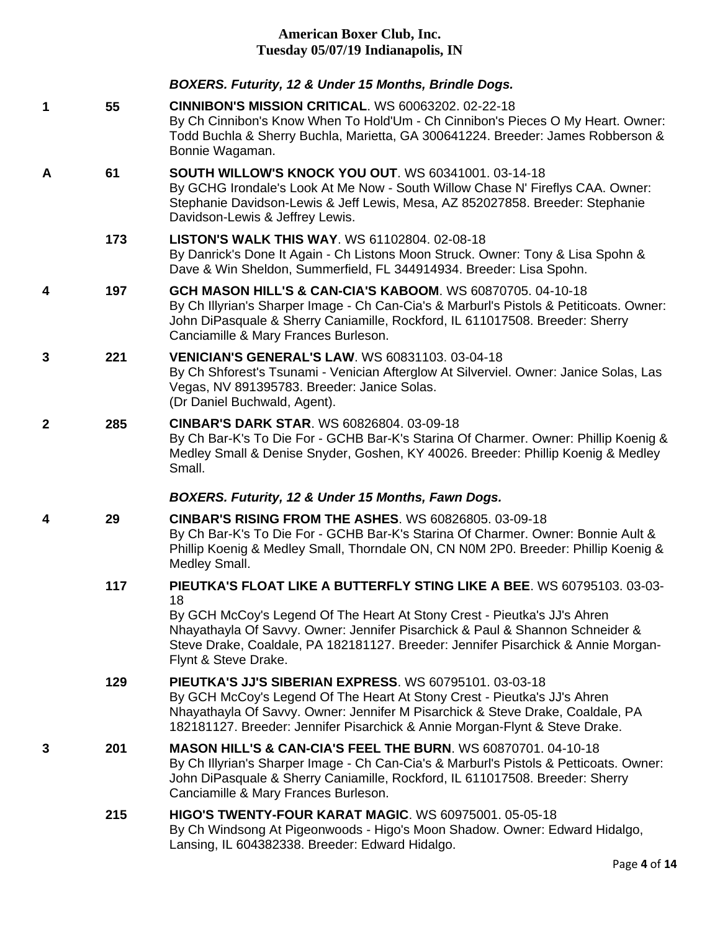|   |     | BOXERS. Futurity, 12 & Under 15 Months, Brindle Dogs.                                                                                                                                                                                                                                                                                                  |
|---|-----|--------------------------------------------------------------------------------------------------------------------------------------------------------------------------------------------------------------------------------------------------------------------------------------------------------------------------------------------------------|
| 1 | 55  | <b>CINNIBON'S MISSION CRITICAL. WS 60063202. 02-22-18</b><br>By Ch Cinnibon's Know When To Hold'Um - Ch Cinnibon's Pieces O My Heart. Owner:<br>Todd Buchla & Sherry Buchla, Marietta, GA 300641224. Breeder: James Robberson &<br>Bonnie Wagaman.                                                                                                     |
| Α | 61  | <b>SOUTH WILLOW'S KNOCK YOU OUT. WS 60341001. 03-14-18</b><br>By GCHG Irondale's Look At Me Now - South Willow Chase N' Fireflys CAA. Owner:<br>Stephanie Davidson-Lewis & Jeff Lewis, Mesa, AZ 852027858. Breeder: Stephanie<br>Davidson-Lewis & Jeffrey Lewis.                                                                                       |
|   | 173 | <b>LISTON'S WALK THIS WAY. WS 61102804. 02-08-18</b><br>By Danrick's Done It Again - Ch Listons Moon Struck. Owner: Tony & Lisa Spohn &<br>Dave & Win Sheldon, Summerfield, FL 344914934. Breeder: Lisa Spohn.                                                                                                                                         |
| 4 | 197 | GCH MASON HILL'S & CAN-CIA'S KABOOM. WS 60870705. 04-10-18<br>By Ch Illyrian's Sharper Image - Ch Can-Cia's & Marburl's Pistols & Petiticoats. Owner:<br>John DiPasquale & Sherry Caniamille, Rockford, IL 611017508. Breeder: Sherry<br>Canciamille & Mary Frances Burleson.                                                                          |
| 3 | 221 | <b>VENICIAN'S GENERAL'S LAW. WS 60831103. 03-04-18</b><br>By Ch Shforest's Tsunami - Venician Afterglow At Silverviel. Owner: Janice Solas, Las<br>Vegas, NV 891395783. Breeder: Janice Solas.<br>(Dr Daniel Buchwald, Agent).                                                                                                                         |
| 2 | 285 | <b>CINBAR'S DARK STAR. WS 60826804. 03-09-18</b><br>By Ch Bar-K's To Die For - GCHB Bar-K's Starina Of Charmer. Owner: Phillip Koenig &<br>Medley Small & Denise Snyder, Goshen, KY 40026. Breeder: Phillip Koenig & Medley<br>Small.                                                                                                                  |
|   |     | BOXERS. Futurity, 12 & Under 15 Months, Fawn Dogs.                                                                                                                                                                                                                                                                                                     |
| 4 | 29  | <b>CINBAR'S RISING FROM THE ASHES. WS 60826805. 03-09-18</b><br>By Ch Bar-K's To Die For - GCHB Bar-K's Starina Of Charmer. Owner: Bonnie Ault &<br>Phillip Koenig & Medley Small, Thorndale ON, CN N0M 2P0. Breeder: Phillip Koenig &<br>Medley Small.                                                                                                |
|   | 117 | PIEUTKA'S FLOAT LIKE A BUTTERFLY STING LIKE A BEE. WS 60795103. 03-03-<br>18<br>By GCH McCoy's Legend Of The Heart At Stony Crest - Pieutka's JJ's Ahren<br>Nhayathayla Of Savvy. Owner: Jennifer Pisarchick & Paul & Shannon Schneider &<br>Steve Drake, Coaldale, PA 182181127. Breeder: Jennifer Pisarchick & Annie Morgan-<br>Flynt & Steve Drake. |
|   | 129 | <b>PIEUTKA'S JJ'S SIBERIAN EXPRESS. WS 60795101. 03-03-18</b><br>By GCH McCoy's Legend Of The Heart At Stony Crest - Pieutka's JJ's Ahren<br>Nhayathayla Of Savvy. Owner: Jennifer M Pisarchick & Steve Drake, Coaldale, PA<br>182181127. Breeder: Jennifer Pisarchick & Annie Morgan-Flynt & Steve Drake.                                             |
| 3 | 201 | <b>MASON HILL'S &amp; CAN-CIA'S FEEL THE BURN. WS 60870701. 04-10-18</b><br>By Ch Illyrian's Sharper Image - Ch Can-Cia's & Marburl's Pistols & Petticoats. Owner:<br>John DiPasquale & Sherry Caniamille, Rockford, IL 611017508. Breeder: Sherry<br>Canciamille & Mary Frances Burleson.                                                             |
|   | 215 | <b>HIGO'S TWENTY-FOUR KARAT MAGIC. WS 60975001. 05-05-18</b><br>By Ch Windsong At Pigeonwoods - Higo's Moon Shadow. Owner: Edward Hidalgo,<br>Lansing, IL 604382338. Breeder: Edward Hidalgo.                                                                                                                                                          |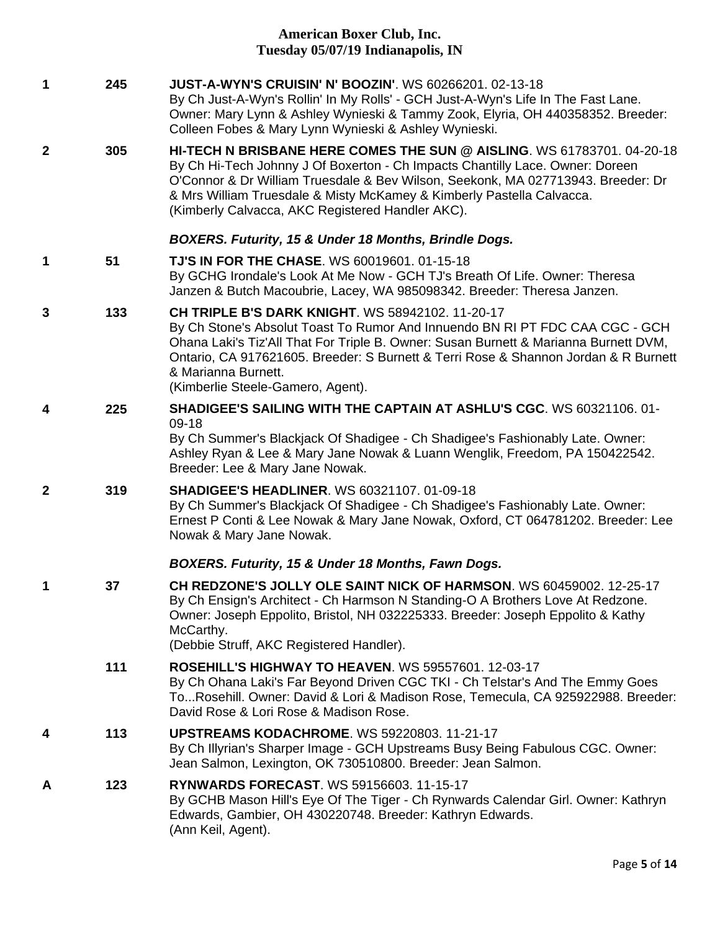| $\mathbf 1$      | 245 | <b>JUST-A-WYN'S CRUISIN' N' BOOZIN'. WS 60266201. 02-13-18</b><br>By Ch Just-A-Wyn's Rollin' In My Rolls' - GCH Just-A-Wyn's Life In The Fast Lane.<br>Owner: Mary Lynn & Ashley Wynieski & Tammy Zook, Elyria, OH 440358352. Breeder:<br>Colleen Fobes & Mary Lynn Wynieski & Ashley Wynieski.                                                                                    |
|------------------|-----|------------------------------------------------------------------------------------------------------------------------------------------------------------------------------------------------------------------------------------------------------------------------------------------------------------------------------------------------------------------------------------|
| $\mathbf{2}$     | 305 | HI-TECH N BRISBANE HERE COMES THE SUN @ AISLING. WS 61783701. 04-20-18<br>By Ch Hi-Tech Johnny J Of Boxerton - Ch Impacts Chantilly Lace. Owner: Doreen<br>O'Connor & Dr William Truesdale & Bev Wilson, Seekonk, MA 027713943. Breeder: Dr<br>& Mrs William Truesdale & Misty McKamey & Kimberly Pastella Calvacca.<br>(Kimberly Calvacca, AKC Registered Handler AKC).           |
|                  |     | BOXERS. Futurity, 15 & Under 18 Months, Brindle Dogs.                                                                                                                                                                                                                                                                                                                              |
| 1                | 51  | <b>TJ'S IN FOR THE CHASE. WS 60019601. 01-15-18</b><br>By GCHG Irondale's Look At Me Now - GCH TJ's Breath Of Life. Owner: Theresa<br>Janzen & Butch Macoubrie, Lacey, WA 985098342. Breeder: Theresa Janzen.                                                                                                                                                                      |
| 3                | 133 | <b>CH TRIPLE B'S DARK KNIGHT. WS 58942102. 11-20-17</b><br>By Ch Stone's Absolut Toast To Rumor And Innuendo BN RI PT FDC CAA CGC - GCH<br>Ohana Laki's Tiz'All That For Triple B. Owner: Susan Burnett & Marianna Burnett DVM,<br>Ontario, CA 917621605. Breeder: S Burnett & Terri Rose & Shannon Jordan & R Burnett<br>& Marianna Burnett.<br>(Kimberlie Steele-Gamero, Agent). |
| 4                | 225 | <b>SHADIGEE'S SAILING WITH THE CAPTAIN AT ASHLU'S CGC. WS 60321106. 01-</b>                                                                                                                                                                                                                                                                                                        |
|                  |     | $09-18$<br>By Ch Summer's Blackjack Of Shadigee - Ch Shadigee's Fashionably Late. Owner:<br>Ashley Ryan & Lee & Mary Jane Nowak & Luann Wenglik, Freedom, PA 150422542.<br>Breeder: Lee & Mary Jane Nowak.                                                                                                                                                                         |
| $\boldsymbol{2}$ | 319 | <b>SHADIGEE'S HEADLINER. WS 60321107. 01-09-18</b><br>By Ch Summer's Blackjack Of Shadigee - Ch Shadigee's Fashionably Late. Owner:<br>Ernest P Conti & Lee Nowak & Mary Jane Nowak, Oxford, CT 064781202. Breeder: Lee<br>Nowak & Mary Jane Nowak.                                                                                                                                |
|                  |     | BOXERS. Futurity, 15 & Under 18 Months, Fawn Dogs.                                                                                                                                                                                                                                                                                                                                 |
| 1                | 37  | CH REDZONE'S JOLLY OLE SAINT NICK OF HARMSON. WS 60459002. 12-25-17<br>By Ch Ensign's Architect - Ch Harmson N Standing-O A Brothers Love At Redzone.<br>Owner: Joseph Eppolito, Bristol, NH 032225333. Breeder: Joseph Eppolito & Kathy<br>McCarthy.<br>(Debbie Struff, AKC Registered Handler).                                                                                  |
|                  | 111 | <b>ROSEHILL'S HIGHWAY TO HEAVEN. WS 59557601. 12-03-17</b><br>By Ch Ohana Laki's Far Beyond Driven CGC TKI - Ch Telstar's And The Emmy Goes<br>ToRosehill. Owner: David & Lori & Madison Rose, Temecula, CA 925922988. Breeder:<br>David Rose & Lori Rose & Madison Rose.                                                                                                          |
| 4                | 113 | <b>UPSTREAMS KODACHROME. WS 59220803. 11-21-17</b><br>By Ch Illyrian's Sharper Image - GCH Upstreams Busy Being Fabulous CGC. Owner:<br>Jean Salmon, Lexington, OK 730510800. Breeder: Jean Salmon.                                                                                                                                                                                |
| A                | 123 | <b>RYNWARDS FORECAST. WS 59156603. 11-15-17</b><br>By GCHB Mason Hill's Eye Of The Tiger - Ch Rynwards Calendar Girl. Owner: Kathryn<br>Edwards, Gambier, OH 430220748. Breeder: Kathryn Edwards.<br>(Ann Keil, Agent).                                                                                                                                                            |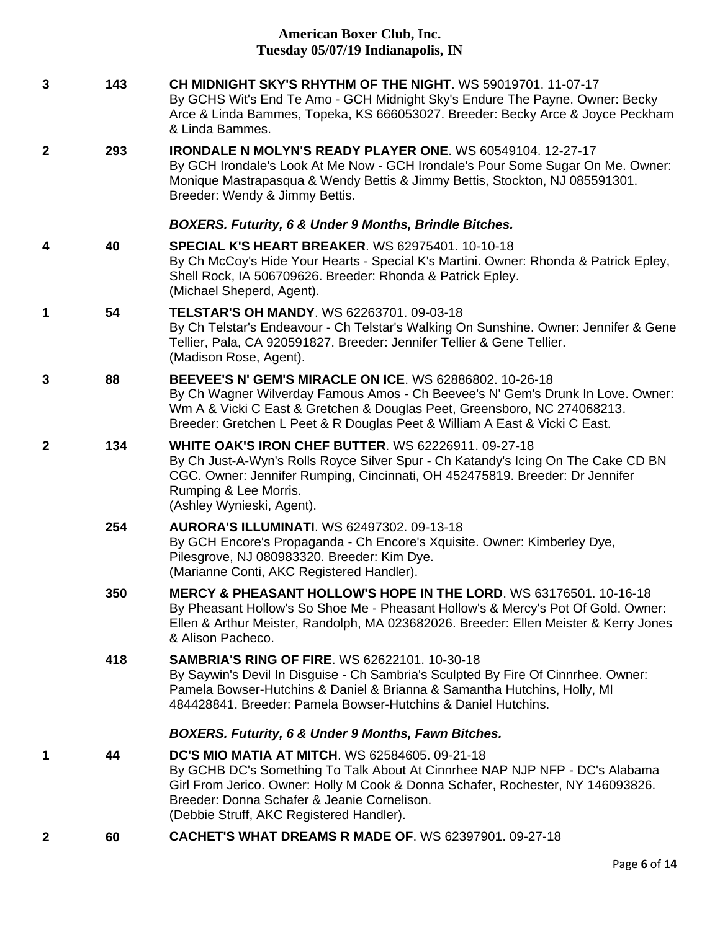| $\mathbf{3}$     | 143 | CH MIDNIGHT SKY'S RHYTHM OF THE NIGHT. WS 59019701, 11-07-17<br>By GCHS Wit's End Te Amo - GCH Midnight Sky's Endure The Payne. Owner: Becky<br>Arce & Linda Bammes, Topeka, KS 666053027. Breeder: Becky Arce & Joyce Peckham<br>& Linda Bammes.                                                                  |
|------------------|-----|--------------------------------------------------------------------------------------------------------------------------------------------------------------------------------------------------------------------------------------------------------------------------------------------------------------------|
| $\boldsymbol{2}$ | 293 | <b>IRONDALE N MOLYN'S READY PLAYER ONE. WS 60549104. 12-27-17</b><br>By GCH Irondale's Look At Me Now - GCH Irondale's Pour Some Sugar On Me. Owner:<br>Monique Mastrapasqua & Wendy Bettis & Jimmy Bettis, Stockton, NJ 085591301.<br>Breeder: Wendy & Jimmy Bettis.                                              |
|                  |     | BOXERS. Futurity, 6 & Under 9 Months, Brindle Bitches.                                                                                                                                                                                                                                                             |
| 4                | 40  | <b>SPECIAL K'S HEART BREAKER. WS 62975401. 10-10-18</b><br>By Ch McCoy's Hide Your Hearts - Special K's Martini. Owner: Rhonda & Patrick Epley,<br>Shell Rock, IA 506709626. Breeder: Rhonda & Patrick Epley.<br>(Michael Sheperd, Agent).                                                                         |
| 1                | 54  | <b>TELSTAR'S OH MANDY. WS 62263701. 09-03-18</b><br>By Ch Telstar's Endeavour - Ch Telstar's Walking On Sunshine. Owner: Jennifer & Gene<br>Tellier, Pala, CA 920591827. Breeder: Jennifer Tellier & Gene Tellier.<br>(Madison Rose, Agent).                                                                       |
| 3                | 88  | <b>BEEVEE'S N' GEM'S MIRACLE ON ICE.</b> WS 62886802, 10-26-18<br>By Ch Wagner Wilverday Famous Amos - Ch Beevee's N' Gem's Drunk In Love. Owner:<br>Wm A & Vicki C East & Gretchen & Douglas Peet, Greensboro, NC 274068213.<br>Breeder: Gretchen L Peet & R Douglas Peet & William A East & Vicki C East.        |
| $\mathbf{2}$     | 134 | <b>WHITE OAK'S IRON CHEF BUTTER. WS 62226911. 09-27-18</b><br>By Ch Just-A-Wyn's Rolls Royce Silver Spur - Ch Katandy's Icing On The Cake CD BN<br>CGC. Owner: Jennifer Rumping, Cincinnati, OH 452475819. Breeder: Dr Jennifer<br>Rumping & Lee Morris.<br>(Ashley Wynieski, Agent).                              |
|                  | 254 | <b>AURORA'S ILLUMINATI.</b> WS 62497302. 09-13-18<br>By GCH Encore's Propaganda - Ch Encore's Xquisite. Owner: Kimberley Dye,<br>Pilesgrove, NJ 080983320. Breeder: Kim Dye.<br>(Marianne Conti, AKC Registered Handler).                                                                                          |
|                  | 350 | MERCY & PHEASANT HOLLOW'S HOPE IN THE LORD. WS 63176501. 10-16-18<br>By Pheasant Hollow's So Shoe Me - Pheasant Hollow's & Mercy's Pot Of Gold. Owner:<br>Ellen & Arthur Meister, Randolph, MA 023682026. Breeder: Ellen Meister & Kerry Jones<br>& Alison Pacheco.                                                |
|                  | 418 | <b>SAMBRIA'S RING OF FIRE. WS 62622101. 10-30-18</b><br>By Saywin's Devil In Disguise - Ch Sambria's Sculpted By Fire Of Cinnrhee. Owner:<br>Pamela Bowser-Hutchins & Daniel & Brianna & Samantha Hutchins, Holly, MI<br>484428841. Breeder: Pamela Bowser-Hutchins & Daniel Hutchins.                             |
|                  |     | <b>BOXERS. Futurity, 6 &amp; Under 9 Months, Fawn Bitches.</b>                                                                                                                                                                                                                                                     |
| 1                | 44  | <b>DC'S MIO MATIA AT MITCH. WS 62584605, 09-21-18</b><br>By GCHB DC's Something To Talk About At Cinnrhee NAP NJP NFP - DC's Alabama<br>Girl From Jerico. Owner: Holly M Cook & Donna Schafer, Rochester, NY 146093826.<br>Breeder: Donna Schafer & Jeanie Cornelison.<br>(Debbie Struff, AKC Registered Handler). |
|                  |     |                                                                                                                                                                                                                                                                                                                    |

**2 60 [CACHET'S WHAT DREAMS R MADE OF](http://infodog.com/my/drlookup2.htm?makc=WS%2062397901&mdog=Cachet%27s+What+Dreams+R+Made+Of&wins=all)**. WS 62397901. 09-27-18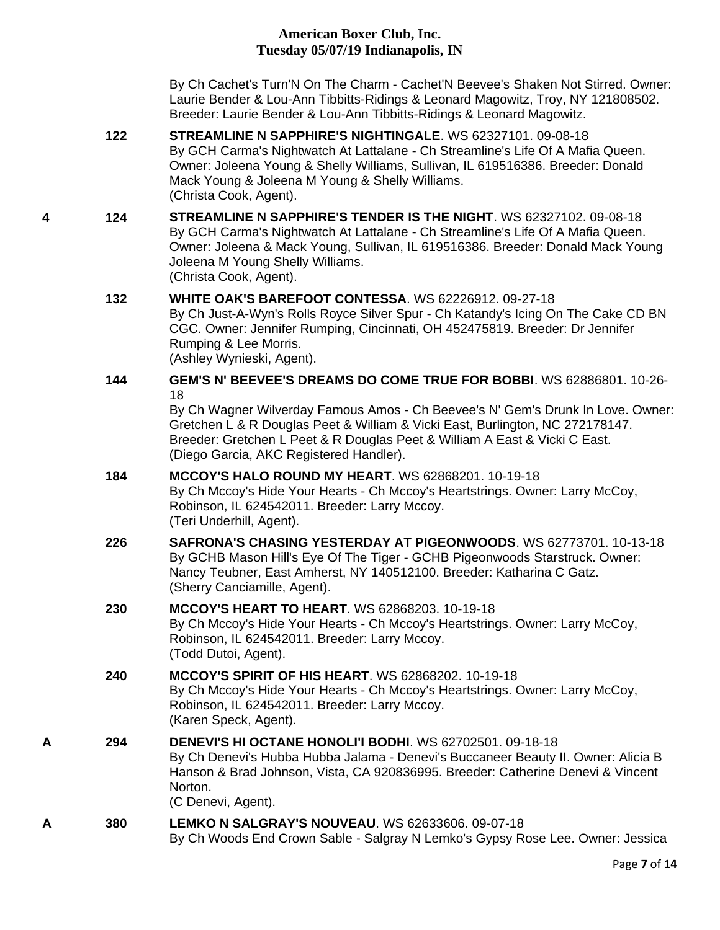By Ch Cachet's Turn'N On The Charm - Cachet'N Beevee's Shaken Not Stirred. Owner: Laurie Bender & Lou-Ann Tibbitts-Ridings & Leonard Magowitz, Troy, NY 121808502. Breeder: Laurie Bender & Lou-Ann Tibbitts-Ridings & Leonard Magowitz.

- **122 [STREAMLINE N SAPPHIRE'S NIGHTINGALE](http://infodog.com/my/drlookup2.htm?makc=WS%2062327101&mdog=Streamline+N+Sapphire%27s+Nightingale&wins=all)**. WS 62327101. 09-08-18 By GCH Carma's Nightwatch At Lattalane - Ch Streamline's Life Of A Mafia Queen. Owner: Joleena Young & Shelly Williams, Sullivan, IL 619516386. Breeder: Donald Mack Young & Joleena M Young & Shelly Williams. (Christa Cook, Agent).
- **4 124 [STREAMLINE N SAPPHIRE'S TENDER IS THE NIGHT](http://infodog.com/my/drlookup2.htm?makc=WS%2062327102&mdog=Streamline+N+Sapphire%27s+Tender+Is+The+Night&wins=all)**. WS 62327102. 09-08-18 By GCH Carma's Nightwatch At Lattalane - Ch Streamline's Life Of A Mafia Queen. Owner: Joleena & Mack Young, Sullivan, IL 619516386. Breeder: Donald Mack Young Joleena M Young Shelly Williams. (Christa Cook, Agent).

#### **132 [WHITE OAK'S BAREFOOT CONTESSA](http://infodog.com/my/drlookup2.htm?makc=WS%2062226912&mdog=White+Oak%27s+Barefoot+Contessa&wins=all)**. WS 62226912. 09-27-18

By Ch Just-A-Wyn's Rolls Royce Silver Spur - Ch Katandy's Icing On The Cake CD BN CGC. Owner: Jennifer Rumping, Cincinnati, OH 452475819. Breeder: Dr Jennifer Rumping & Lee Morris. (Ashley Wynieski, Agent).

#### **144 [GEM'S N' BEEVEE'S DREAMS DO COME TRUE FOR BOBBI](http://infodog.com/my/drlookup2.htm?makc=WS%2062886801&mdog=Gem%27s+N%27+Beevee%27s+Dreams+Do+Come+True+For+Bobbi&wins=all)**. WS 62886801. 10-26- 18

By Ch Wagner Wilverday Famous Amos - Ch Beevee's N' Gem's Drunk In Love. Owner: Gretchen L & R Douglas Peet & William & Vicki East, Burlington, NC 272178147. Breeder: Gretchen L Peet & R Douglas Peet & William A East & Vicki C East. (Diego Garcia, AKC Registered Handler).

## **184 [MCCOY'S HALO ROUND MY HEART](http://infodog.com/my/drlookup2.htm?makc=WS%2062868201&mdog=Mccoy%27s+Halo+Round+My+Heart&wins=all)**. WS 62868201. 10-19-18

By Ch Mccoy's Hide Your Hearts - Ch Mccoy's Heartstrings. Owner: Larry McCoy, Robinson, IL 624542011. Breeder: Larry Mccoy. (Teri Underhill, Agent).

**226 [SAFRONA'S CHASING YESTERDAY AT PIGEONWOODS](http://infodog.com/my/drlookup2.htm?makc=WS%2062773701&mdog=Safrona%27s+Chasing+Yesterday+At+Pigeonwoods&wins=all)**. WS 62773701. 10-13-18 By GCHB Mason Hill's Eye Of The Tiger - GCHB Pigeonwoods Starstruck. Owner: Nancy Teubner, East Amherst, NY 140512100. Breeder: Katharina C Gatz. (Sherry Canciamille, Agent).

# **230 [MCCOY'S HEART TO HEART](http://infodog.com/my/drlookup2.htm?makc=WS%2062868203&mdog=Mccoy%27s+Heart+To+Heart&wins=all)**. WS 62868203. 10-19-18

By Ch Mccoy's Hide Your Hearts - Ch Mccoy's Heartstrings. Owner: Larry McCoy, Robinson, IL 624542011. Breeder: Larry Mccoy. (Todd Dutoi, Agent).

## **240 [MCCOY'S SPIRIT OF HIS HEART](http://infodog.com/my/drlookup2.htm?makc=WS%2062868202&mdog=Mccoy%27s+Spirit+Of+His+Heart&wins=all)**. WS 62868202. 10-19-18 By Ch Mccoy's Hide Your Hearts - Ch Mccoy's Heartstrings. Owner: Larry McCoy, Robinson, IL 624542011. Breeder: Larry Mccoy. (Karen Speck, Agent).

**A 294 [DENEVI'S HI OCTANE HONOLI'I BODHI](http://infodog.com/my/drlookup2.htm?makc=WS%2062702501&mdog=Denevi%27s+Hi+Octane+Honoli%27I+Bodhi&wins=all)**. WS 62702501. 09-18-18 By Ch Denevi's Hubba Hubba Jalama - Denevi's Buccaneer Beauty II. Owner: Alicia B Hanson & Brad Johnson, Vista, CA 920836995. Breeder: Catherine Denevi & Vincent Norton. (C Denevi, Agent).

## **A 380 [LEMKO N SALGRAY'S NOUVEAU](http://infodog.com/my/drlookup2.htm?makc=WS%2062633606&mdog=Lemko+N+Salgray%27s+Nouveau&wins=all)**. WS 62633606. 09-07-18 By Ch Woods End Crown Sable - Salgray N Lemko's Gypsy Rose Lee. Owner: Jessica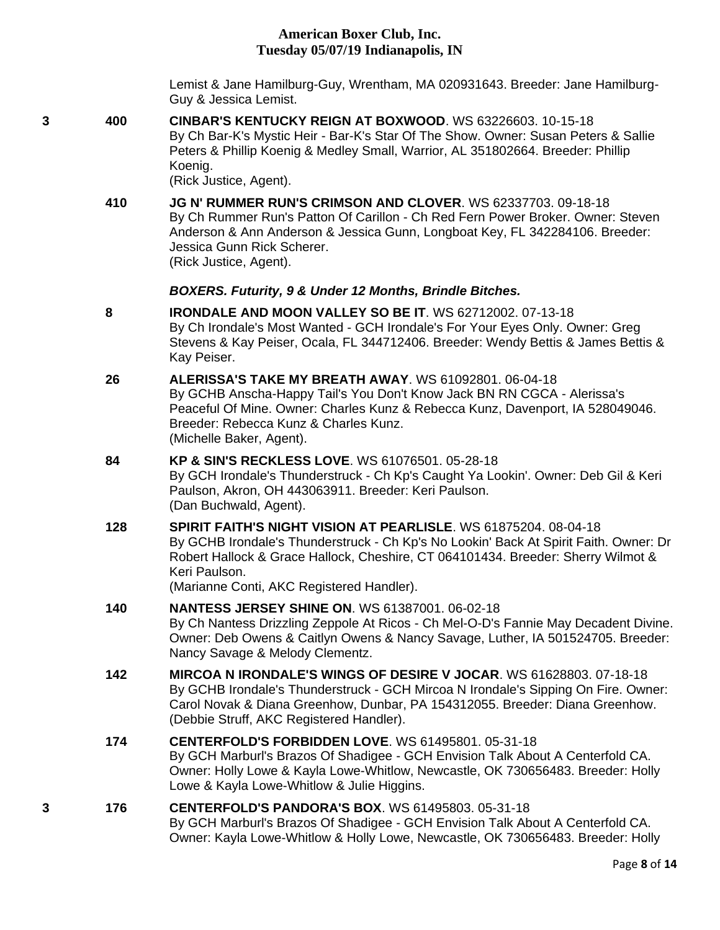Lemist & Jane Hamilburg-Guy, Wrentham, MA 020931643. Breeder: Jane Hamilburg-Guy & Jessica Lemist.

**3 400 [CINBAR'S KENTUCKY REIGN AT BOXWOOD](http://infodog.com/my/drlookup2.htm?makc=WS%2063226603&mdog=Cinbar%27s+Kentucky+Reign+At+Boxwood&wins=all)**. WS 63226603. 10-15-18 By Ch Bar-K's Mystic Heir - Bar-K's Star Of The Show. Owner: Susan Peters & Sallie Peters & Phillip Koenig & Medley Small, Warrior, AL 351802664. Breeder: Phillip Koenig.

(Rick Justice, Agent).

**410 [JG N' RUMMER RUN'S CRIMSON AND CLOVER](http://infodog.com/my/drlookup2.htm?makc=WS%2062337703&mdog=Jg+N%27+Rummer+Run%27s+Crimson+And+Clover&wins=all)**. WS 62337703. 09-18-18 By Ch Rummer Run's Patton Of Carillon - Ch Red Fern Power Broker. Owner: Steven Anderson & Ann Anderson & Jessica Gunn, Longboat Key, FL 342284106. Breeder: Jessica Gunn Rick Scherer. (Rick Justice, Agent).

#### *BOXERS. Futurity, 9 & Under 12 Months, Brindle Bitches.*

- **8 [IRONDALE AND MOON VALLEY SO BE IT](http://infodog.com/my/drlookup2.htm?makc=WS%2062712002&mdog=Irondale+And+Moon+Valley+So+Be+It&wins=all)**. WS 62712002. 07-13-18 By Ch Irondale's Most Wanted - GCH Irondale's For Your Eyes Only. Owner: Greg Stevens & Kay Peiser, Ocala, FL 344712406. Breeder: Wendy Bettis & James Bettis & Kay Peiser.
- **26 [ALERISSA'S TAKE MY BREATH AWAY](http://infodog.com/my/drlookup2.htm?makc=WS%2061092801&mdog=Alerissa%27s+Take+My+Breath+Away&wins=all)**. WS 61092801. 06-04-18 By GCHB Anscha-Happy Tail's You Don't Know Jack BN RN CGCA - Alerissa's Peaceful Of Mine. Owner: Charles Kunz & Rebecca Kunz, Davenport, IA 528049046. Breeder: Rebecca Kunz & Charles Kunz. (Michelle Baker, Agent).

# **84 [KP & SIN'S RECKLESS LOVE](http://infodog.com/my/drlookup2.htm?makc=WS%2061076501&mdog=KP+&+Sin%27s+Reckless+Love&wins=all)**. WS 61076501. 05-28-18

By GCH Irondale's Thunderstruck - Ch Kp's Caught Ya Lookin'. Owner: Deb Gil & Keri Paulson, Akron, OH 443063911. Breeder: Keri Paulson. (Dan Buchwald, Agent).

**128 [SPIRIT FAITH'S NIGHT VISION AT PEARLISLE](http://infodog.com/my/drlookup2.htm?makc=WS%2061875204&mdog=Spirit+Faith%27s+Night+Vision+At+Pearlisle&wins=all)**. WS 61875204. 08-04-18 By GCHB Irondale's Thunderstruck - Ch Kp's No Lookin' Back At Spirit Faith. Owner: Dr Robert Hallock & Grace Hallock, Cheshire, CT 064101434. Breeder: Sherry Wilmot & Keri Paulson. (Marianne Conti, AKC Registered Handler).

**140 [NANTESS JERSEY SHINE ON](http://infodog.com/my/drlookup2.htm?makc=WS%2061387001&mdog=Nantess+Jersey+Shine+On&wins=all)**. WS 61387001. 06-02-18 By Ch Nantess Drizzling Zeppole At Ricos - Ch Mel-O-D's Fannie May Decadent Divine. Owner: Deb Owens & Caitlyn Owens & Nancy Savage, Luther, IA 501524705. Breeder: Nancy Savage & Melody Clementz.

**142 [MIRCOA N IRONDALE'S WINGS OF DESIRE V JOCAR](http://infodog.com/my/drlookup2.htm?makc=WS%2061628803&mdog=Mircoa+N+Irondale%27s+Wings+Of+Desire+V+Jocar&wins=all)**. WS 61628803. 07-18-18 By GCHB Irondale's Thunderstruck - GCH Mircoa N Irondale's Sipping On Fire. Owner: Carol Novak & Diana Greenhow, Dunbar, PA 154312055. Breeder: Diana Greenhow. (Debbie Struff, AKC Registered Handler).

#### **174 [CENTERFOLD'S FORBIDDEN LOVE](http://infodog.com/my/drlookup2.htm?makc=WS%2061495801&mdog=Centerfold%27s+Forbidden+Love&wins=all)**. WS 61495801. 05-31-18 By GCH Marburl's Brazos Of Shadigee - GCH Envision Talk About A Centerfold CA. Owner: Holly Lowe & Kayla Lowe-Whitlow, Newcastle, OK 730656483. Breeder: Holly Lowe & Kayla Lowe-Whitlow & Julie Higgins.

#### **3 176 [CENTERFOLD'S PANDORA'S BOX](http://infodog.com/my/drlookup2.htm?makc=WS%2061495803&mdog=Centerfold%27s+Pandora%27s+Box&wins=all)**. WS 61495803. 05-31-18 By GCH Marburl's Brazos Of Shadigee - GCH Envision Talk About A Centerfold CA. Owner: Kayla Lowe-Whitlow & Holly Lowe, Newcastle, OK 730656483. Breeder: Holly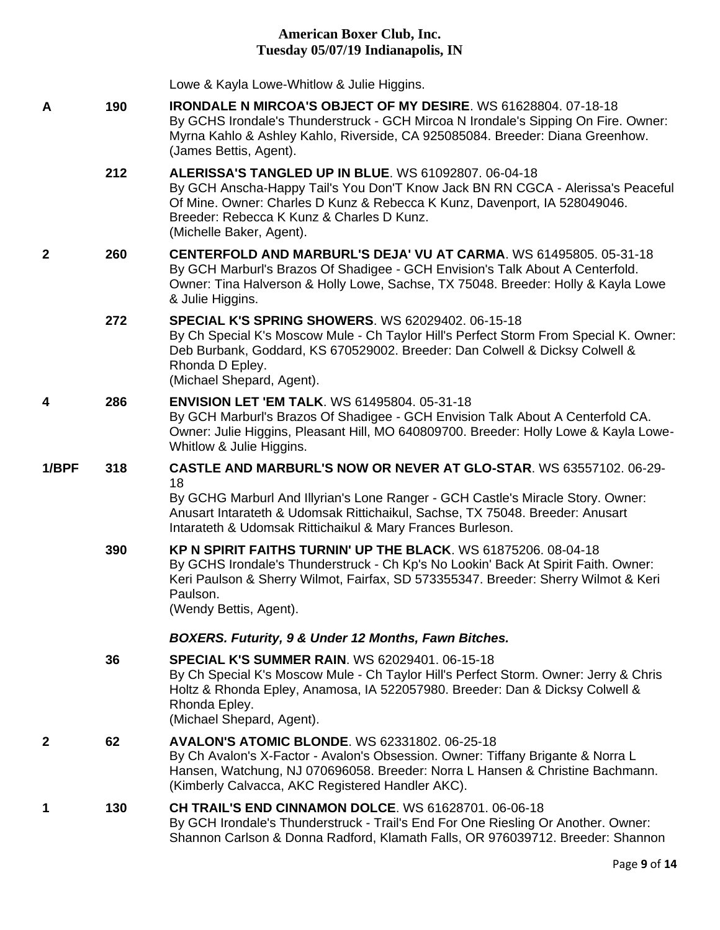|       |     | Lowe & Kayla Lowe-Whitlow & Julie Higgins.                                                                                                                                                                                                                                                           |
|-------|-----|------------------------------------------------------------------------------------------------------------------------------------------------------------------------------------------------------------------------------------------------------------------------------------------------------|
| Α     | 190 | IRONDALE N MIRCOA'S OBJECT OF MY DESIRE. WS 61628804. 07-18-18<br>By GCHS Irondale's Thunderstruck - GCH Mircoa N Irondale's Sipping On Fire. Owner:<br>Myrna Kahlo & Ashley Kahlo, Riverside, CA 925085084. Breeder: Diana Greenhow.<br>(James Bettis, Agent).                                      |
|       | 212 | <b>ALERISSA'S TANGLED UP IN BLUE. WS 61092807, 06-04-18</b><br>By GCH Anscha-Happy Tail's You Don'T Know Jack BN RN CGCA - Alerissa's Peaceful<br>Of Mine. Owner: Charles D Kunz & Rebecca K Kunz, Davenport, IA 528049046.<br>Breeder: Rebecca K Kunz & Charles D Kunz.<br>(Michelle Baker, Agent). |
| 2     | 260 | CENTERFOLD AND MARBURL'S DEJA' VU AT CARMA. WS 61495805. 05-31-18<br>By GCH Marburl's Brazos Of Shadigee - GCH Envision's Talk About A Centerfold.<br>Owner: Tina Halverson & Holly Lowe, Sachse, TX 75048. Breeder: Holly & Kayla Lowe<br>& Julie Higgins.                                          |
|       | 272 | <b>SPECIAL K'S SPRING SHOWERS. WS 62029402. 06-15-18</b><br>By Ch Special K's Moscow Mule - Ch Taylor Hill's Perfect Storm From Special K. Owner:<br>Deb Burbank, Goddard, KS 670529002. Breeder: Dan Colwell & Dicksy Colwell &<br>Rhonda D Epley.<br>(Michael Shepard, Agent).                     |
| 4     | 286 | <b>ENVISION LET 'EM TALK. WS 61495804. 05-31-18</b><br>By GCH Marburl's Brazos Of Shadigee - GCH Envision Talk About A Centerfold CA.<br>Owner: Julie Higgins, Pleasant Hill, MO 640809700. Breeder: Holly Lowe & Kayla Lowe-<br>Whitlow & Julie Higgins.                                            |
| 1/BPF | 318 | <b>CASTLE AND MARBURL'S NOW OR NEVER AT GLO-STAR. WS 63557102. 06-29-</b>                                                                                                                                                                                                                            |
|       |     | 18<br>By GCHG Marburl And Illyrian's Lone Ranger - GCH Castle's Miracle Story. Owner:<br>Anusart Intarateth & Udomsak Rittichaikul, Sachse, TX 75048. Breeder: Anusart<br>Intarateth & Udomsak Rittichaikul & Mary Frances Burleson.                                                                 |
|       | 390 | KP N SPIRIT FAITHS TURNIN' UP THE BLACK, WS 61875206, 08-04-18<br>By GCHS Irondale's Thunderstruck - Ch Kp's No Lookin' Back At Spirit Faith. Owner:<br>Keri Paulson & Sherry Wilmot, Fairfax, SD 573355347. Breeder: Sherry Wilmot & Keri<br>Paulson.<br>(Wendy Bettis, Agent).                     |
|       |     | BOXERS. Futurity, 9 & Under 12 Months, Fawn Bitches.                                                                                                                                                                                                                                                 |
|       | 36  | <b>SPECIAL K'S SUMMER RAIN. WS 62029401. 06-15-18</b><br>By Ch Special K's Moscow Mule - Ch Taylor Hill's Perfect Storm. Owner: Jerry & Chris<br>Holtz & Rhonda Epley, Anamosa, IA 522057980. Breeder: Dan & Dicksy Colwell &<br>Rhonda Epley.<br>(Michael Shepard, Agent).                          |
| 2     | 62  | <b>AVALON'S ATOMIC BLONDE. WS 62331802. 06-25-18</b><br>By Ch Avalon's X-Factor - Avalon's Obsession. Owner: Tiffany Brigante & Norra L<br>Hansen, Watchung, NJ 070696058. Breeder: Norra L Hansen & Christine Bachmann.<br>(Kimberly Calvacca, AKC Registered Handler AKC).                         |
| 1     | 130 | <b>CH TRAIL'S END CINNAMON DOLCE.</b> WS 61628701, 06-06-18<br>By GCH Irondale's Thunderstruck - Trail's End For One Riesling Or Another. Owner:<br>Shannon Carlson & Donna Radford, Klamath Falls, OR 976039712. Breeder: Shannon                                                                   |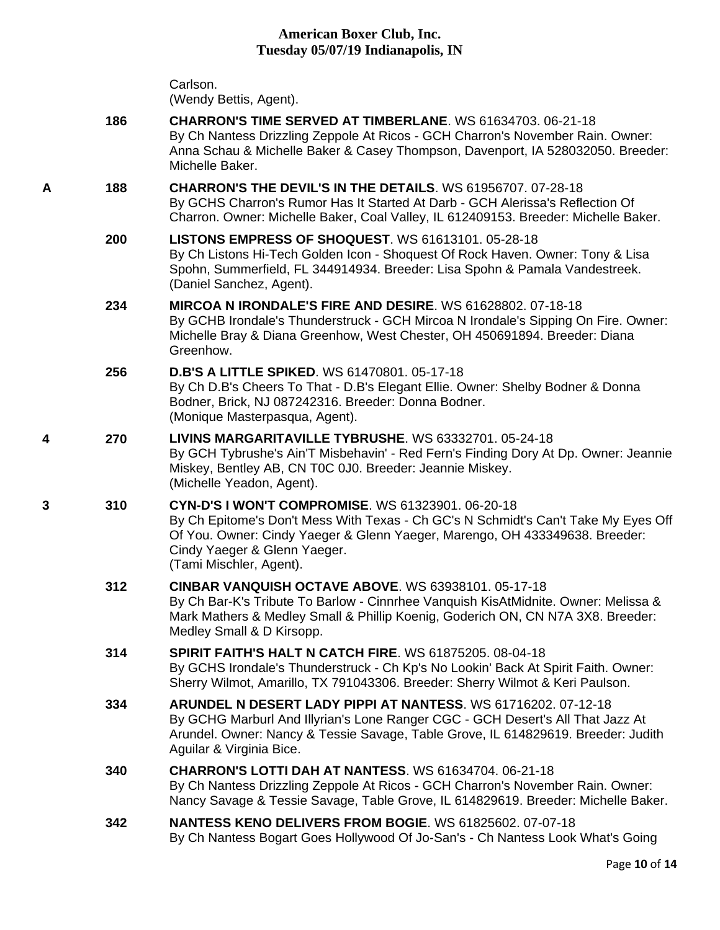|   |     | Carlson.<br>(Wendy Bettis, Agent).                                                                                                                                                                                                                                                |
|---|-----|-----------------------------------------------------------------------------------------------------------------------------------------------------------------------------------------------------------------------------------------------------------------------------------|
|   | 186 | <b>CHARRON'S TIME SERVED AT TIMBERLANE.</b> WS 61634703, 06-21-18<br>By Ch Nantess Drizzling Zeppole At Ricos - GCH Charron's November Rain. Owner:<br>Anna Schau & Michelle Baker & Casey Thompson, Davenport, IA 528032050. Breeder:<br>Michelle Baker.                         |
| Α | 188 | <b>CHARRON'S THE DEVIL'S IN THE DETAILS. WS 61956707. 07-28-18</b><br>By GCHS Charron's Rumor Has It Started At Darb - GCH Alerissa's Reflection Of<br>Charron. Owner: Michelle Baker, Coal Valley, IL 612409153. Breeder: Michelle Baker.                                        |
|   | 200 | <b>LISTONS EMPRESS OF SHOQUEST. WS 61613101. 05-28-18</b><br>By Ch Listons Hi-Tech Golden Icon - Shoquest Of Rock Haven. Owner: Tony & Lisa<br>Spohn, Summerfield, FL 344914934. Breeder: Lisa Spohn & Pamala Vandestreek.<br>(Daniel Sanchez, Agent).                            |
|   | 234 | MIRCOA N IRONDALE'S FIRE AND DESIRE. WS 61628802, 07-18-18<br>By GCHB Irondale's Thunderstruck - GCH Mircoa N Irondale's Sipping On Fire. Owner:<br>Michelle Bray & Diana Greenhow, West Chester, OH 450691894. Breeder: Diana<br>Greenhow.                                       |
|   | 256 | <b>D.B'S A LITTLE SPIKED. WS 61470801, 05-17-18</b><br>By Ch D.B's Cheers To That - D.B's Elegant Ellie. Owner: Shelby Bodner & Donna<br>Bodner, Brick, NJ 087242316. Breeder: Donna Bodner.<br>(Monique Masterpasqua, Agent).                                                    |
| 4 | 270 | LIVINS MARGARITAVILLE TYBRUSHE. WS 63332701. 05-24-18<br>By GCH Tybrushe's Ain'T Misbehavin' - Red Fern's Finding Dory At Dp. Owner: Jeannie<br>Miskey, Bentley AB, CN T0C 0J0. Breeder: Jeannie Miskey.<br>(Michelle Yeadon, Agent).                                             |
| 3 | 310 | CYN-D'S I WON'T COMPROMISE. WS 61323901. 06-20-18<br>By Ch Epitome's Don't Mess With Texas - Ch GC's N Schmidt's Can't Take My Eyes Off<br>Of You. Owner: Cindy Yaeger & Glenn Yaeger, Marengo, OH 433349638. Breeder:<br>Cindy Yaeger & Glenn Yaeger.<br>(Tami Mischler, Agent). |
|   | 312 | <b>CINBAR VANQUISH OCTAVE ABOVE. WS 63938101, 05-17-18</b><br>By Ch Bar-K's Tribute To Barlow - Cinnrhee Vanquish KisAtMidnite. Owner: Melissa &<br>Mark Mathers & Medley Small & Phillip Koenig, Goderich ON, CN N7A 3X8. Breeder:<br>Medley Small & D Kirsopp.                  |
|   | 314 | <b>SPIRIT FAITH'S HALT N CATCH FIRE. WS 61875205. 08-04-18</b><br>By GCHS Irondale's Thunderstruck - Ch Kp's No Lookin' Back At Spirit Faith. Owner:<br>Sherry Wilmot, Amarillo, TX 791043306. Breeder: Sherry Wilmot & Keri Paulson.                                             |
|   | 334 | ARUNDEL N DESERT LADY PIPPI AT NANTESS. WS 61716202, 07-12-18<br>By GCHG Marburl And Illyrian's Lone Ranger CGC - GCH Desert's All That Jazz At<br>Arundel. Owner: Nancy & Tessie Savage, Table Grove, IL 614829619. Breeder: Judith<br>Aguilar & Virginia Bice.                  |
|   | 340 | <b>CHARRON'S LOTTI DAH AT NANTESS. WS 61634704, 06-21-18</b><br>By Ch Nantess Drizzling Zeppole At Ricos - GCH Charron's November Rain. Owner:<br>Nancy Savage & Tessie Savage, Table Grove, IL 614829619. Breeder: Michelle Baker.                                               |
|   | 342 | NANTESS KENO DELIVERS FROM BOGIE. WS 61825602. 07-07-18<br>By Ch Nantess Bogart Goes Hollywood Of Jo-San's - Ch Nantess Look What's Going                                                                                                                                         |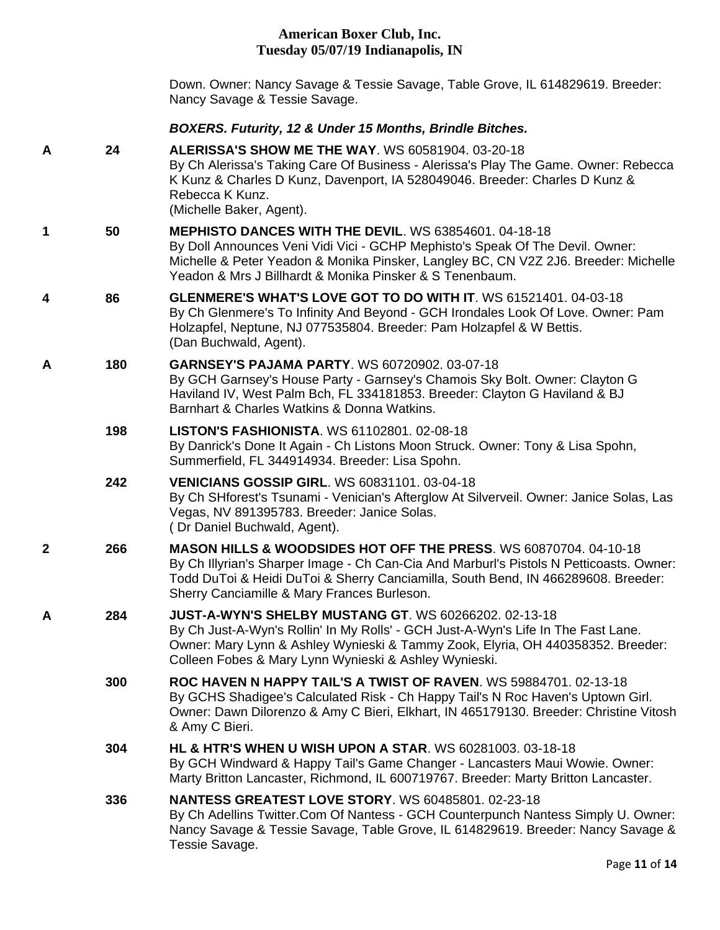Down. Owner: Nancy Savage & Tessie Savage, Table Grove, IL 614829619. Breeder: Nancy Savage & Tessie Savage.

#### *BOXERS. Futurity, 12 & Under 15 Months, Brindle Bitches.*

**A 24 [ALERISSA'S SHOW ME THE WAY](http://infodog.com/my/drlookup2.htm?makc=WS%2060581904&mdog=Alerissa%27s+Show+Me+The+Way&wins=all)**. WS 60581904. 03-20-18 By Ch Alerissa's Taking Care Of Business - Alerissa's Play The Game. Owner: Rebecca K Kunz & Charles D Kunz, Davenport, IA 528049046. Breeder: Charles D Kunz & Rebecca K Kunz. (Michelle Baker, Agent). **1 50 [MEPHISTO DANCES WITH THE DEVIL](http://infodog.com/my/drlookup2.htm?makc=WS%2063854601&mdog=Mephisto+Dances+With+The+Devil&wins=all)**. WS 63854601. 04-18-18 By Doll Announces Veni Vidi Vici - GCHP Mephisto's Speak Of The Devil. Owner: Michelle & Peter Yeadon & Monika Pinsker, Langley BC, CN V2Z 2J6. Breeder: Michelle Yeadon & Mrs J Billhardt & Monika Pinsker & S Tenenbaum. **4 86 [GLENMERE'S WHAT'S LOVE GOT TO DO WITH IT](http://infodog.com/my/drlookup2.htm?makc=WS%2061521401&mdog=Glenmere%27s+What%27s+Love+Got+To+Do+With+It&wins=all)**. WS 61521401. 04-03-18 By Ch Glenmere's To Infinity And Beyond - GCH Irondales Look Of Love. Owner: Pam Holzapfel, Neptune, NJ 077535804. Breeder: Pam Holzapfel & W Bettis. (Dan Buchwald, Agent). **A 180 [GARNSEY'S PAJAMA PARTY](http://infodog.com/my/drlookup2.htm?makc=WS%2060720902&mdog=Garnsey%27s+Pajama+Party&wins=all)**. WS 60720902. 03-07-18 By GCH Garnsey's House Party - Garnsey's Chamois Sky Bolt. Owner: Clayton G Haviland IV, West Palm Bch, FL 334181853. Breeder: Clayton G Haviland & BJ Barnhart & Charles Watkins & Donna Watkins. **198 [LISTON'S FASHIONISTA](http://infodog.com/my/drlookup2.htm?makc=WS%2061102801&mdog=Liston%27s+Fashionista&wins=all)**. WS 61102801. 02-08-18 By Danrick's Done It Again - Ch Listons Moon Struck. Owner: Tony & Lisa Spohn, Summerfield, FL 344914934. Breeder: Lisa Spohn. **242 [VENICIANS GOSSIP GIRL](http://infodog.com/my/drlookup2.htm?makc=WS%2060831101&mdog=Venicians+Gossip+Girl&wins=all)**. WS 60831101. 03-04-18 By Ch SHforest's Tsunami - Venician's Afterglow At Silverveil. Owner: Janice Solas, Las Vegas, NV 891395783. Breeder: Janice Solas. ( Dr Daniel Buchwald, Agent). **2 266 [MASON HILLS & WOODSIDES HOT OFF THE PRESS](http://infodog.com/my/drlookup2.htm?makc=WS%2060870704&mdog=Mason+Hills+&+Woodsides+Hot+Off+The+Press&wins=all)**. WS 60870704. 04-10-18 By Ch Illyrian's Sharper Image - Ch Can-Cia And Marburl's Pistols N Petticoasts. Owner: Todd DuToi & Heidi DuToi & Sherry Canciamilla, South Bend, IN 466289608. Breeder: Sherry Canciamille & Mary Frances Burleson. **A 284 [JUST-A-WYN'S SHELBY MUSTANG GT](http://infodog.com/my/drlookup2.htm?makc=WS%2060266202&mdog=Just-A-Wyn%27s+Shelby+Mustang+GT&wins=all)**. WS 60266202. 02-13-18 By Ch Just-A-Wyn's Rollin' In My Rolls' - GCH Just-A-Wyn's Life In The Fast Lane. Owner: Mary Lynn & Ashley Wynieski & Tammy Zook, Elyria, OH 440358352. Breeder: Colleen Fobes & Mary Lynn Wynieski & Ashley Wynieski. **300 [ROC HAVEN N HAPPY TAIL'S A TWIST OF RAVEN](http://infodog.com/my/drlookup2.htm?makc=WS%2059884701&mdog=Roc+Haven+N+Happy+Tail%27s+A+Twist+Of+Raven&wins=all)**. WS 59884701. 02-13-18 By GCHS Shadigee's Calculated Risk - Ch Happy Tail's N Roc Haven's Uptown Girl. Owner: Dawn Dilorenzo & Amy C Bieri, Elkhart, IN 465179130. Breeder: Christine Vitosh & Amy C Bieri. **304 [HL & HTR'S WHEN U WISH UPON A STAR](http://infodog.com/my/drlookup2.htm?makc=WS%2060281003&mdog=Hl+&+Htr%27s+When+U+Wish+Upon+A+Star&wins=all)**. WS 60281003. 03-18-18 By GCH Windward & Happy Tail's Game Changer - Lancasters Maui Wowie. Owner: Marty Britton Lancaster, Richmond, IL 600719767. Breeder: Marty Britton Lancaster. **336 [NANTESS GREATEST LOVE STORY](http://infodog.com/my/drlookup2.htm?makc=WS%2060485801&mdog=Nantess+Greatest+Love+Story&wins=all)**. WS 60485801. 02-23-18 By Ch Adellins Twitter.Com Of Nantess - GCH Counterpunch Nantess Simply U. Owner: Nancy Savage & Tessie Savage, Table Grove, IL 614829619. Breeder: Nancy Savage & Tessie Savage.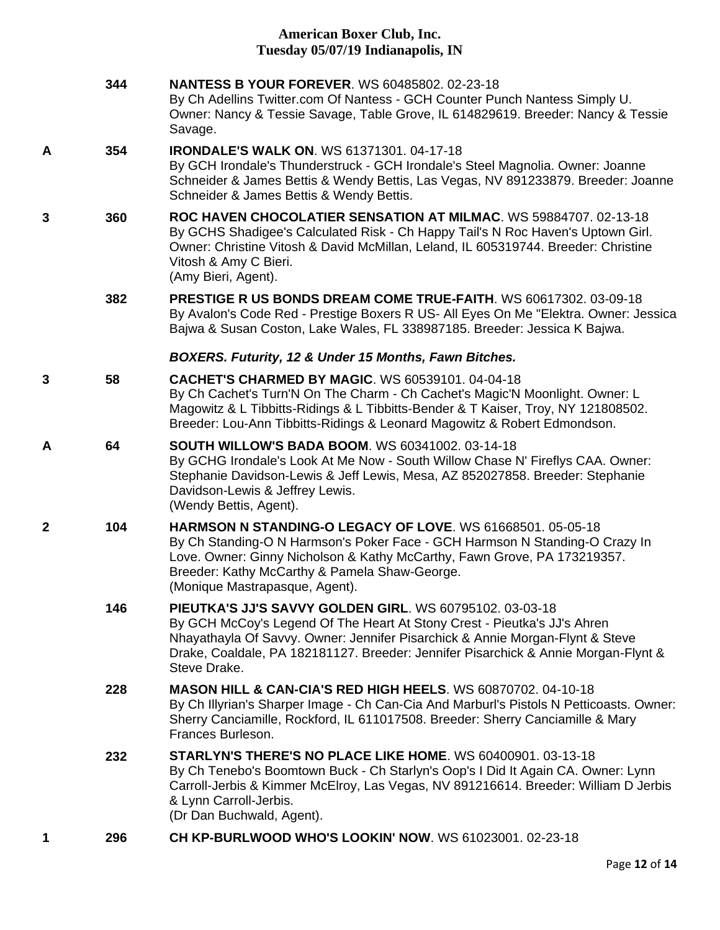|              | 344 | <b>NANTESS B YOUR FOREVER. WS 60485802. 02-23-18</b><br>By Ch Adellins Twitter.com Of Nantess - GCH Counter Punch Nantess Simply U.<br>Owner: Nancy & Tessie Savage, Table Grove, IL 614829619. Breeder: Nancy & Tessie<br>Savage.                                                                                         |
|--------------|-----|----------------------------------------------------------------------------------------------------------------------------------------------------------------------------------------------------------------------------------------------------------------------------------------------------------------------------|
| A            | 354 | <b>IRONDALE'S WALK ON. WS 61371301. 04-17-18</b><br>By GCH Irondale's Thunderstruck - GCH Irondale's Steel Magnolia. Owner: Joanne<br>Schneider & James Bettis & Wendy Bettis, Las Vegas, NV 891233879. Breeder: Joanne<br>Schneider & James Bettis & Wendy Bettis.                                                        |
| 3            | 360 | ROC HAVEN CHOCOLATIER SENSATION AT MILMAC, WS 59884707, 02-13-18<br>By GCHS Shadigee's Calculated Risk - Ch Happy Tail's N Roc Haven's Uptown Girl.<br>Owner: Christine Vitosh & David McMillan, Leland, IL 605319744. Breeder: Christine<br>Vitosh & Amy C Bieri.<br>(Amy Bieri, Agent).                                  |
|              | 382 | PRESTIGE R US BONDS DREAM COME TRUE-FAITH. WS 60617302. 03-09-18<br>By Avalon's Code Red - Prestige Boxers R US- All Eyes On Me "Elektra. Owner: Jessica<br>Bajwa & Susan Coston, Lake Wales, FL 338987185. Breeder: Jessica K Bajwa.                                                                                      |
|              |     | BOXERS. Futurity, 12 & Under 15 Months, Fawn Bitches.                                                                                                                                                                                                                                                                      |
| 3            | 58  | <b>CACHET'S CHARMED BY MAGIC. WS 60539101, 04-04-18</b><br>By Ch Cachet's Turn'N On The Charm - Ch Cachet's Magic'N Moonlight. Owner: L<br>Magowitz & L Tibbitts-Ridings & L Tibbitts-Bender & T Kaiser, Troy, NY 121808502.<br>Breeder: Lou-Ann Tibbitts-Ridings & Leonard Magowitz & Robert Edmondson.                   |
| A            | 64  | <b>SOUTH WILLOW'S BADA BOOM. WS 60341002. 03-14-18</b><br>By GCHG Irondale's Look At Me Now - South Willow Chase N' Fireflys CAA. Owner:<br>Stephanie Davidson-Lewis & Jeff Lewis, Mesa, AZ 852027858. Breeder: Stephanie<br>Davidson-Lewis & Jeffrey Lewis.<br>(Wendy Bettis, Agent).                                     |
| $\mathbf{2}$ | 104 | HARMSON N STANDING-O LEGACY OF LOVE. WS 61668501, 05-05-18<br>By Ch Standing-O N Harmson's Poker Face - GCH Harmson N Standing-O Crazy In<br>Love. Owner: Ginny Nicholson & Kathy McCarthy, Fawn Grove, PA 173219357.<br>Breeder: Kathy McCarthy & Pamela Shaw-George.<br>(Monique Mastrapasque, Agent).                   |
|              | 146 | PIEUTKA'S JJ'S SAVVY GOLDEN GIRL. WS 60795102. 03-03-18<br>By GCH McCoy's Legend Of The Heart At Stony Crest - Pieutka's JJ's Ahren<br>Nhayathayla Of Savvy. Owner: Jennifer Pisarchick & Annie Morgan-Flynt & Steve<br>Drake, Coaldale, PA 182181127. Breeder: Jennifer Pisarchick & Annie Morgan-Flynt &<br>Steve Drake. |
|              | 228 | <b>MASON HILL &amp; CAN-CIA'S RED HIGH HEELS. WS 60870702. 04-10-18</b><br>By Ch Illyrian's Sharper Image - Ch Can-Cia And Marburl's Pistols N Petticoasts. Owner:<br>Sherry Canciamille, Rockford, IL 611017508. Breeder: Sherry Canciamille & Mary<br>Frances Burleson.                                                  |
|              | 232 | <b>STARLYN'S THERE'S NO PLACE LIKE HOME. WS 60400901. 03-13-18</b><br>By Ch Tenebo's Boomtown Buck - Ch Starlyn's Oop's I Did It Again CA. Owner: Lynn<br>Carroll-Jerbis & Kimmer McElroy, Las Vegas, NV 891216614. Breeder: William D Jerbis<br>& Lynn Carroll-Jerbis.<br>(Dr Dan Buchwald, Agent).                       |

**1 296 [CH KP-BURLWOOD WHO'S LOOKIN' NOW](http://infodog.com/my/drlookup2.htm?makc=WS%2061023001&mdog=Ch+Kp-Burlwood+Who%27s+Lookin%27+Now&wins=all)**. WS 61023001. 02-23-18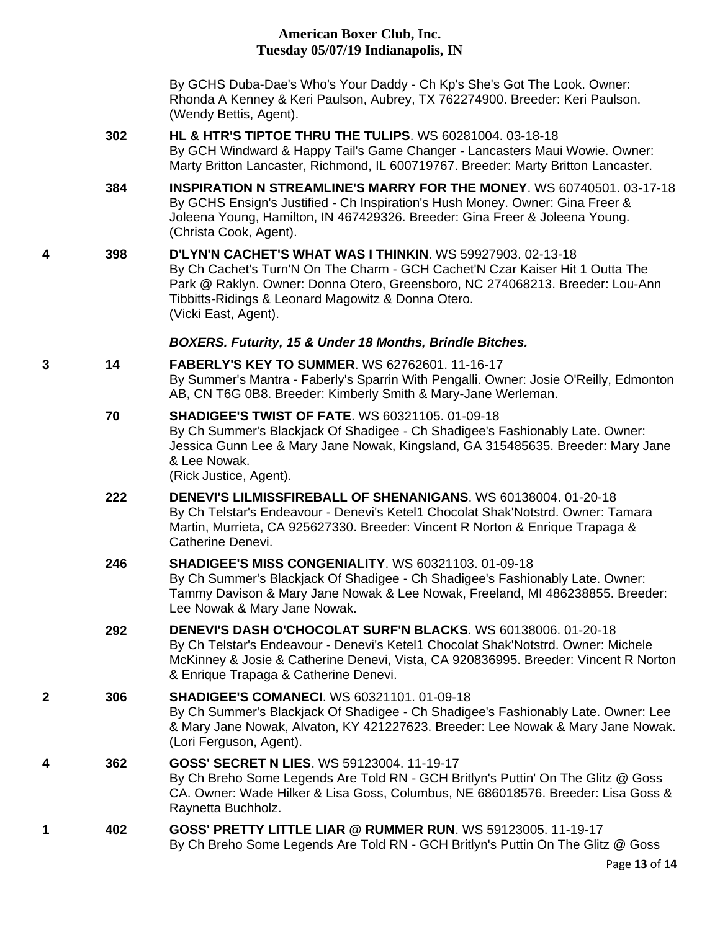By GCHS Duba-Dae's Who's Your Daddy - Ch Kp's She's Got The Look. Owner: Rhonda A Kenney & Keri Paulson, Aubrey, TX 762274900. Breeder: Keri Paulson. (Wendy Bettis, Agent).

- **302 [HL & HTR'S TIPTOE THRU THE TULIPS](http://infodog.com/my/drlookup2.htm?makc=WS%2060281004&mdog=Hl+&+Htr%27s+Tiptoe+Thru+The+Tulips&wins=all)**. WS 60281004. 03-18-18 By GCH Windward & Happy Tail's Game Changer - Lancasters Maui Wowie. Owner: Marty Britton Lancaster, Richmond, IL 600719767. Breeder: Marty Britton Lancaster.
- **384 [INSPIRATION N STREAMLINE'S MARRY FOR THE MONEY](http://infodog.com/my/drlookup2.htm?makc=WS%2060740501&mdog=Inspiration+N+Streamline%27s+Marry+For+The+Money&wins=all)**. WS 60740501. 03-17-18 By GCHS Ensign's Justified - Ch Inspiration's Hush Money. Owner: Gina Freer & Joleena Young, Hamilton, IN 467429326. Breeder: Gina Freer & Joleena Young. (Christa Cook, Agent).
- **4 398 [D'LYN'N CACHET'S WHAT WAS I THINKIN](http://infodog.com/my/drlookup2.htm?makc=WS%2059927903&mdog=D%27Lyn%27N+Cachet%27s+What+Was+I+Thinkin&wins=all)**. WS 59927903. 02-13-18 By Ch Cachet's Turn'N On The Charm - GCH Cachet'N Czar Kaiser Hit 1 Outta The Park @ Raklyn. Owner: Donna Otero, Greensboro, NC 274068213. Breeder: Lou-Ann Tibbitts-Ridings & Leonard Magowitz & Donna Otero. (Vicki East, Agent).

### *BOXERS. Futurity, 15 & Under 18 Months, Brindle Bitches.*

- **3 14 [FABERLY'S KEY TO SUMMER](http://infodog.com/my/drlookup2.htm?makc=WS%2062762601&mdog=Faberly%27s+Key+To+Summer&wins=all)**. WS 62762601. 11-16-17 By Summer's Mantra - Faberly's Sparrin With Pengalli. Owner: Josie O'Reilly, Edmonton AB, CN T6G 0B8. Breeder: Kimberly Smith & Mary-Jane Werleman.
	- **70 [SHADIGEE'S TWIST OF FATE](http://infodog.com/my/drlookup2.htm?makc=WS%2060321105&mdog=Shadigee%27s+Twist+Of+Fate&wins=all)**. WS 60321105. 01-09-18 By Ch Summer's Blackjack Of Shadigee - Ch Shadigee's Fashionably Late. Owner: Jessica Gunn Lee & Mary Jane Nowak, Kingsland, GA 315485635. Breeder: Mary Jane & Lee Nowak. (Rick Justice, Agent).
	- **222 [DENEVI'S LILMISSFIREBALL OF SHENANIGANS](http://infodog.com/my/drlookup2.htm?makc=WS%2060138004&mdog=Denevi%27s+Lilmissfireball+Of+Shenanigans&wins=all)**. WS 60138004. 01-20-18 By Ch Telstar's Endeavour - Denevi's Ketel1 Chocolat Shak'Notstrd. Owner: Tamara Martin, Murrieta, CA 925627330. Breeder: Vincent R Norton & Enrique Trapaga & Catherine Denevi.
	- **246 [SHADIGEE'S MISS CONGENIALITY](http://infodog.com/my/drlookup2.htm?makc=WS%2060321103&mdog=Shadigee%27s+Miss+Congeniality&wins=all)**. WS 60321103. 01-09-18 By Ch Summer's Blackjack Of Shadigee - Ch Shadigee's Fashionably Late. Owner: Tammy Davison & Mary Jane Nowak & Lee Nowak, Freeland, MI 486238855. Breeder: Lee Nowak & Mary Jane Nowak.
	- **292 [DENEVI'S DASH O'CHOCOLAT SURF'N BLACKS](http://infodog.com/my/drlookup2.htm?makc=WS%2060138006&mdog=Denevi%27s+Dash+O%27Chocolat+Surf%27N+Blacks&wins=all)**. WS 60138006. 01-20-18 By Ch Telstar's Endeavour - Denevi's Ketel1 Chocolat Shak'Notstrd. Owner: Michele McKinney & Josie & Catherine Denevi, Vista, CA 920836995. Breeder: Vincent R Norton & Enrique Trapaga & Catherine Denevi.
- **2 306 [SHADIGEE'S COMANECI](http://infodog.com/my/drlookup2.htm?makc=WS%2060321101&mdog=Shadigee%27s+Comaneci&wins=all)**. WS 60321101. 01-09-18 By Ch Summer's Blackjack Of Shadigee - Ch Shadigee's Fashionably Late. Owner: Lee & Mary Jane Nowak, Alvaton, KY 421227623. Breeder: Lee Nowak & Mary Jane Nowak. (Lori Ferguson, Agent).
- **4 362 [GOSS' SECRET N LIES](http://infodog.com/my/drlookup2.htm?makc=WS%2059123004&mdog=Goss%27+Secret+N+Lies&wins=all)**. WS 59123004. 11-19-17 By Ch Breho Some Legends Are Told RN - GCH Britlyn's Puttin' On The Glitz @ Goss CA. Owner: Wade Hilker & Lisa Goss, Columbus, NE 686018576. Breeder: Lisa Goss & Raynetta Buchholz.
- **1 402 [GOSS' PRETTY LITTLE LIAR @ RUMMER RUN](http://infodog.com/my/drlookup2.htm?makc=WS%2059123005&mdog=Goss%27+Pretty+Little+Liar+@+Rummer+Run&wins=all)**. WS 59123005. 11-19-17 By Ch Breho Some Legends Are Told RN - GCH Britlyn's Puttin On The Glitz @ Goss